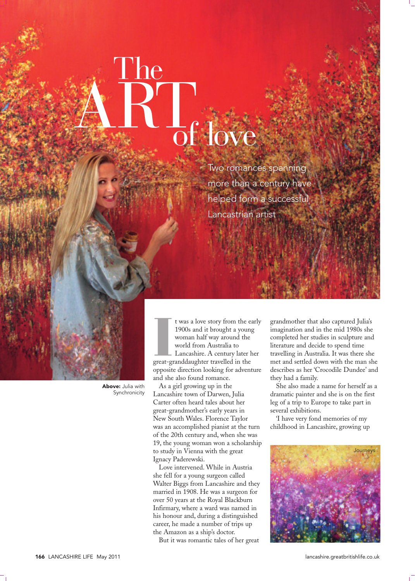## The  $\frac{1}{2}$  love

Two romances spanning more than a century have helped form a successful Lancastrian artist

Above: Julia with Synchronicity

t was a love story from the e<br>1900s and it brought a youn<br>woman half way around the<br>world from Australia to<br>Lancashire. A century later<br>great-granddaughter travelled in the t was a love story from the early 1900s and it brought a young woman half way around the world from Australia to Lancashire. A century later her opposite direction looking for adventure and she also found romance.

As a girl growing up in the Lancashire town of Darwen, Julia Carter often heard tales about her great-grandmother's early years in New South Wales. Florence Taylor was an accomplished pianist at the turn of the 20th century and, when she was 19, the young woman won a scholarship to study in Vienna with the great Ignacy Paderewski.

Love intervened. While in Austria she fell for a young surgeon called Walter Biggs from Lancashire and they married in 1908. He was a surgeon for over 50 years at the Royal Blackburn Infirmary, where a ward was named in his honour and, during a distinguished career, he made a number of trips up the Amazon as a ship's doctor.

But it was romantic tales of her great

grandmother that also captured Julia's imagination and in the mid 1980s she completed her studies in sculpture and literature and decide to spend time travelling in Australia. It was there she met and settled down with the man she describes as her 'Crocodile Dundee' and they had a family.

She also made a name for herself as a dramatic painter and she is on the first leg of a trip to Europe to take part in several exhibitions.

'I have very fond memories of my childhood in Lancashire, growing up